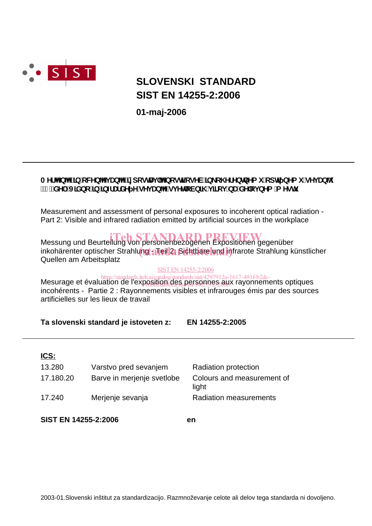

# **SIST EN 14255-2:2006 SLOVENSKI STANDARD**

**01-maj-2006**

## A Yf **MbM** Jb c WhbM j UbM JndcghUj `Mbcgh cgYV Jb\_c\ Yf Ybhb Ya i `cdh | b Ya i `gY j Ub1 I'&"XY. JIXbc'lb'lb**ZU**XY Y'qYi Ub^Y'qi YhcVbl\ i lfci bUXY'ci bYa 'a Yqh

Measurement and assessment of personal exposures to incoherent optical radiation - Part 2: Visible and infrared radiation emitted by artificial sources in the workplace

# Messung und Beurteilung von personenbezogenen Expositionen gegenüber

inkohärenter optischer Strahlung - Teil 2: Sichtbare und infrarote Strahlung künstlicher Quellen am Arbeitsplatz

## SIST EN 14255-2:2006

Mesurage et évaluation de l'exposition des personnes aux rayonnements optiques incohérents - Partie 2 : Rayonnements visibles et infrarouges émis par des sources artificielles sur les lieux de travail https://standards.iteh.ai/catalog/standards/sist/4297912a-1617-481f-b2dc-<u>126bb2da00eass1eel-24235-2-2006</u>

**Ta slovenski standard je istoveten z: EN 14255-2:2005**

## **ICS:**

| 13.280    | Varstvo pred sevanjem      | Radiation protection                |
|-----------|----------------------------|-------------------------------------|
| 17.180.20 | Barve in merjenje svetlobe | Colours and measurement of<br>light |
| 17.240    | Merjenje sevanja           | <b>Radiation measurements</b>       |

**SIST EN 14255-2:2006 en**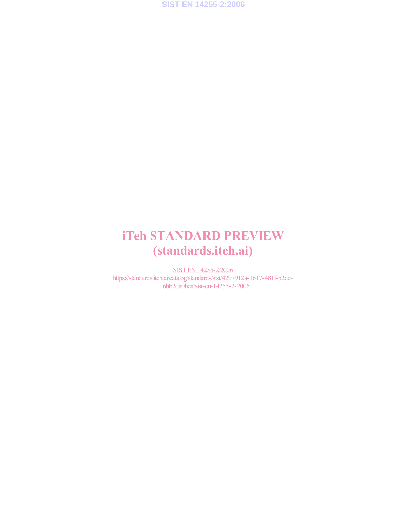# iTeh STANDARD PREVIEW (standards.iteh.ai)

SIST EN 14255-2:2006 https://standards.iteh.ai/catalog/standards/sist/4297912a-1617-481f-b2dc-116bb2da0bea/sist-en-14255-2-2006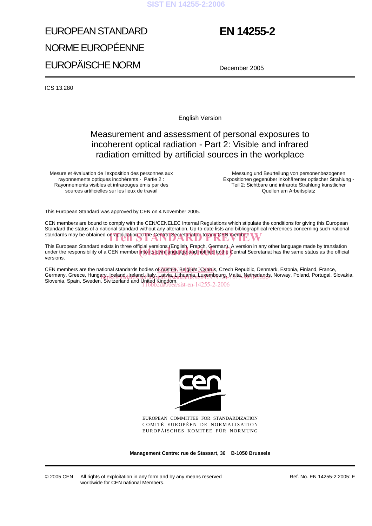### **SIST EN 14255-2:2006**

# EUROPEAN STANDARD NORME EUROPÉENNE EUROPÄISCHE NORM

## **EN 14255-2**

December 2005

ICS 13.280

English Version

## Measurement and assessment of personal exposures to incoherent optical radiation - Part 2: Visible and infrared radiation emitted by artificial sources in the workplace

Mesure et évaluation de l'exposition des personnes aux rayonnements optiques incohérents - Partie 2 : Rayonnements visibles et infrarouges émis par des sources artificielles sur les lieux de travail

Messung und Beurteilung von personenbezogenen Expositionen gegenüber inkohärenter optischer Strahlung - Teil 2: Sichtbare und infrarote Strahlung künstlicher Quellen am Arbeitsplatz

This European Standard was approved by CEN on 4 November 2005.

CEN members are bound to comply with the CEN/CENELEC Internal Regulations which stipulate the conditions for giving this European Standard the status of a national standard without any alteration. Up-to-date lists and bibliographical references concerning such national standards may be obtained on application to the Central Secretariat or to any CEN member.

This European Standard exists in three official versions (English, French, German). A version in any other language made by translation This European Standard exists in three official versions (English, French, German). A version in any other language made by translation<br>under the responsibility of a CEN member into its own language and notified to the Cen versions.

CEN members are the national standards bodies o<u>f Austria, Belgium, Cypru</u>s, Czech Republic, Denmark, Estonia, Finland, France, Germany, Greece, Hungary, Iceland, Ireland, Italy, Latvia, Lithuania, Luxembourg, Malta, Netherlands, Norway, Poland, Portugal, Slovakia, Germany, Greece, Hungary, Iceland, Ireland, Italy, Latyja, Lithuania, Luxembourg, Malta, Netherlands<br>Slovenia, Spain, Sweden, Switzerland and United Kingdom. 116bb2da0bea/sist-en-14255-2-2006



EUROPEAN COMMITTEE FOR STANDARDIZATION COMITÉ EUROPÉEN DE NORMALISATION EUROPÄISCHES KOMITEE FÜR NORMUNG

**Management Centre: rue de Stassart, 36 B-1050 Brussels**

© 2005 CEN All rights of exploitation in any form and by any means reserved worldwide for CEN national Members.

Ref. No. EN 14255-2:2005: E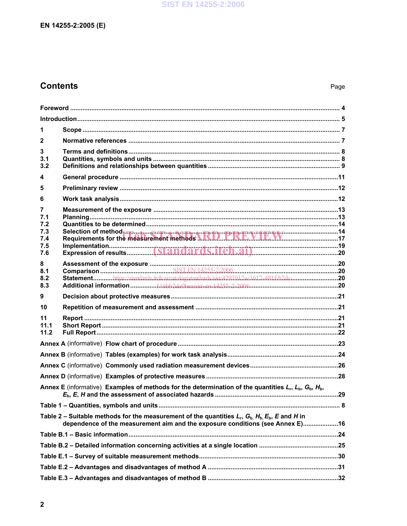## **Contents**

| 1                                    |                                                                                                                                                                                                     |  |  |
|--------------------------------------|-----------------------------------------------------------------------------------------------------------------------------------------------------------------------------------------------------|--|--|
| $\mathbf{2}$                         |                                                                                                                                                                                                     |  |  |
| $\mathbf{3}$<br>3.1<br>3.2           |                                                                                                                                                                                                     |  |  |
| 4                                    |                                                                                                                                                                                                     |  |  |
| 5                                    |                                                                                                                                                                                                     |  |  |
| 6                                    |                                                                                                                                                                                                     |  |  |
| 7<br>7.1<br>7.2<br>7.3<br>7.4<br>7.5 | Requirements for the measurement methods MKIJ FKEVIEW M                                                                                                                                             |  |  |
| 7.6                                  |                                                                                                                                                                                                     |  |  |
| 8<br>8.1                             |                                                                                                                                                                                                     |  |  |
| 8.2                                  | Statementhttps://standards.iteh.ai/catalog/standards/sist/4297912a-1617-481f-b2dc-20                                                                                                                |  |  |
| 8.3                                  |                                                                                                                                                                                                     |  |  |
| 9                                    |                                                                                                                                                                                                     |  |  |
| 10                                   |                                                                                                                                                                                                     |  |  |
| 11<br>11.1                           |                                                                                                                                                                                                     |  |  |
| 11.2                                 |                                                                                                                                                                                                     |  |  |
|                                      |                                                                                                                                                                                                     |  |  |
|                                      |                                                                                                                                                                                                     |  |  |
|                                      |                                                                                                                                                                                                     |  |  |
|                                      |                                                                                                                                                                                                     |  |  |
|                                      | Annex E (informative) Examples of methods for the determination of the quantities $L_1$ , $L_b$ , $G_b$ , $H_b$ ,                                                                                   |  |  |
|                                      |                                                                                                                                                                                                     |  |  |
|                                      | Table 2 – Suitable methods for the measurement of the quantities $L_r$ , $G_{b_1}H_{b_1}E_{b_2}E_{c_3}F_{d_1}$ in<br>dependence of the measurement aim and the exposure conditions (see Annex E) 16 |  |  |
|                                      |                                                                                                                                                                                                     |  |  |
|                                      |                                                                                                                                                                                                     |  |  |
|                                      |                                                                                                                                                                                                     |  |  |
|                                      |                                                                                                                                                                                                     |  |  |
|                                      |                                                                                                                                                                                                     |  |  |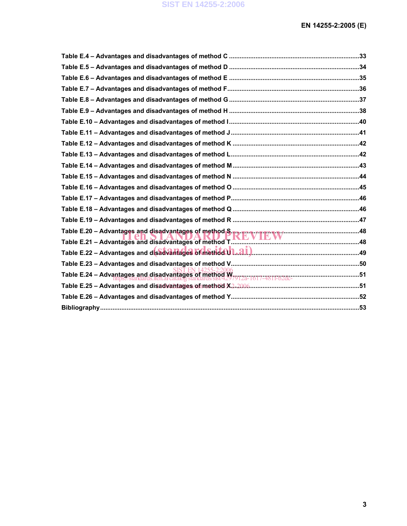| Table E.24 – Advantages and disadvantages of method W79124-1617-481Fb2dc-<br>Table E.24 – Advantages and disadvantages of method W79124-1617-481Fb2dc- |  |
|--------------------------------------------------------------------------------------------------------------------------------------------------------|--|
|                                                                                                                                                        |  |
|                                                                                                                                                        |  |
|                                                                                                                                                        |  |
|                                                                                                                                                        |  |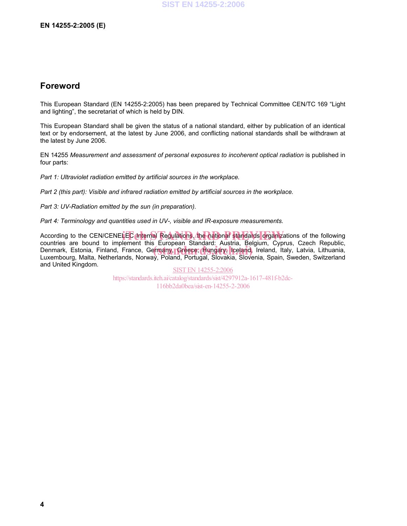### **Foreword**

This European Standard (EN 14255-2:2005) has been prepared by Technical Committee CEN/TC 169 "Light and lighting", the secretariat of which is held by DIN.

This European Standard shall be given the status of a national standard, either by publication of an identical text or by endorsement, at the latest by June 2006, and conflicting national standards shall be withdrawn at the latest by June 2006.

EN 14255 *Measurement and assessment of personal exposures to incoherent optical radiation* is published in four parts:

*Part 1: Ultraviolet radiation emitted by artificial sources in the workplace.* 

*Part 2 (this part): Visible and infrared radiation emitted by artificial sources in the workplace.* 

*Part 3: UV-Radiation emitted by the sun (in preparation).* 

*Part 4: Terminology and quantities used in UV-, visible and IR-exposure measurements.* 

According to the CEN/CENELEC Internal Regulations, the national standards organizations of the following<br>countries are bound to implement this European Standard: Austria, Belgium, Cynrus, Czech, Benublic countries are bound to implement this European Standard: Austria, Belgium, Cyprus, Czech Republic, benmark, Estonia, Finland, France, Germany, Greece, Hungary, Iceland, Ireland, Italy, Latvia, Lithuania, Irenment, Ireland, Ireland, Italy, Latvia, Lithuania, Irenment, Irenment, Irenment, Irenment, Irenment, Irenment, Ire Luxembourg, Malta, Netherlands, Norway, Poland, Portugal, Slovakia, Slovenia, Spain, Sweden, Switzerland and United Kingdom.

SIST EN 14255-2:2006 https://standards.iteh.ai/catalog/standards/sist/4297912a-1617-481f-b2dc-116bb2da0bea/sist-en-14255-2-2006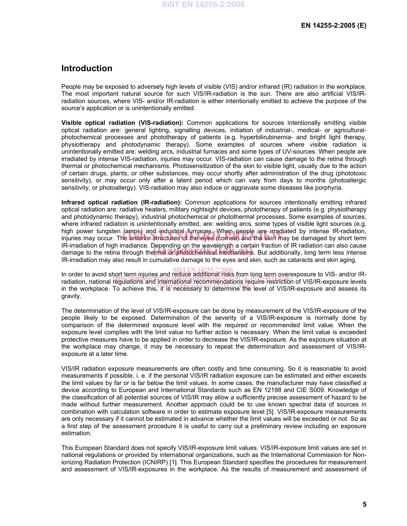### **Introduction**

People may be exposed to adversely high levels of visible (VIS) and/or infrared (IR) radiation in the workplace. The most important natural source for such VIS/IR-radiation is the sun. There are also artificial VIS/IRradiation sources, where VIS- and/or IR-radiation is either intentionally emitted to achieve the purpose of the source's application or is unintentionally emitted.

**Visible optical radiation (VIS-radiation):** Common applications for sources intentionally emitting visible optical radiation are: general lighting, signalling devices, initiation of industrial-, medical- or agriculturalphotochemical processes and phototherapy of patients (e.g. hyperbilirubinemia- and bright light therapy, physiotherapy and photodynamic therapy). Some examples of sources where visible radiation is unintentionally emitted are: welding arcs, industrial furnaces and some types of UV-sources. When people are irradiated by intense VIS-radiation, injuries may occur. VIS-radiation can cause damage to the retina through thermal or photochemical mechanisms. Photosensitization of the skin to visible light, usually due to the action of certain drugs, plants, or other substances, may occur shortly after administration of the drug (phototoxic sensitivity), or may occur only after a latent period which can vary from days to months (photoallergic sensitivity, or photoallergy). VIS-radiation may also induce or aggravate some diseases like porphyria.

**Infrared optical radiation (IR-radiation):** Common applications for sources intentionally emitting infrared optical radiation are: radiative heaters, military nightsight devices, phototherapy of patients (e.g. physiotherapy and photodynamic therapy), industrial photochemical or photothermal processes. Some examples of sources, where infrared radiation is unintentionally emitted, are: welding arcs, some types of visible light sources (e.g. high power tungsten lamps) and industrial furnaces. When people are irradiated by intense IR-radiation, high power tungsten lamps) and industrial furnaces. When people are irradiated by intense IR-radiation,<br>injuries may occur. The anterior structures of the eyes (cornea) and the skin may be damaged by short term IR-irradiation of high irradiance. Depending on the wavelength a certain fraction of IR radiation can also cause IR-irradiation of high irradiance. Depending on the wavelength a certain fraction of IR radiation can also cause<br>damage to the retina through thermal or photochemical mechanisms. But additionally, long term less intense IR-irradiation may also result in cumulative damage to the eyes and skin, such as cataracts and skin aging.

In order to avoid short term injuries and reduce additional risks from long term overexposure to VIS- and/or IRnf order to avoid short term indices and requise additional rests non-long temp overexposure to vis- and/or iR<br>radiation, national regulations and international recommendations require restriction of VIS/IR-exposure levels radiation, national regulations and international recommendations require restriction or violin-exposure levels<br>In the workplace. To achieve this, it is necessary to determine the level of VIS/IR-exposure and assess its gravity.

The determination of the level of VIS/IR-exposure can be done by measurement of the VIS/IR-exposure of the people likely to be exposed. Determination of the severity of a VIS/IR-exposure is normally done by comparison of the determined exposure level with the required or recommended limit value. When the exposure level complies with the limit value no further action is necessary. When the limit value is exceeded protective measures have to be applied in order to decrease the VIS/IR-exposure. As the exposure situation at the workplace may change, it may be necessary to repeat the determination and assessment of VIS/IRexposure at a later time.

VIS/IR radiation exposure measurements are often costly and time consuming. So it is reasonable to avoid measurements if possible, i. e. if the personal VIS/IR radiation exposure can be estimated and either exceeds the limit values by far or is far below the limit values. In some cases, the manufacturer may have classified a device according to European and International Standards such as EN 12198 and CIE S009. Knowledge of the classification of all potential sources of VIS/IR may allow a sufficiently precise assessment of hazard to be made without further measurement. Another approach could be to use known spectral data of sources in combination with calculation software in order to estimate exposure level [5]. VIS/IR-exposure measurements are only necessary if it cannot be estimated in advance whether the limit values will be exceeded or not. So as a first step of the assessment procedure it is useful to carry out a preliminary review including an exposure estimation.

This European Standard does not specify VIS/IR-exposure limit values. VIS/IR-exposure limit values are set in national regulations or provided by international organizations, such as the International Commission for Nonionizing Radiation Protection (ICNIRP) [1]. This European Standard specifies the procedures for measurement and assessment of VIS/IR-exposures in the workplace. As the results of measurement and assessment of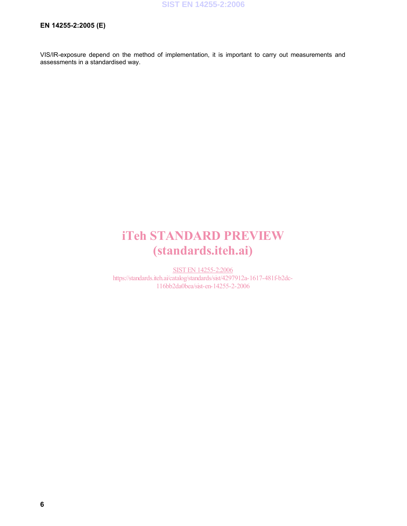VIS/IR-exposure depend on the method of implementation, it is important to carry out measurements and assessments in a standardised way.

# iTeh STANDARD PREVIEW (standards.iteh.ai)

SIST EN 14255-2:2006 https://standards.iteh.ai/catalog/standards/sist/4297912a-1617-481f-b2dc-116bb2da0bea/sist-en-14255-2-2006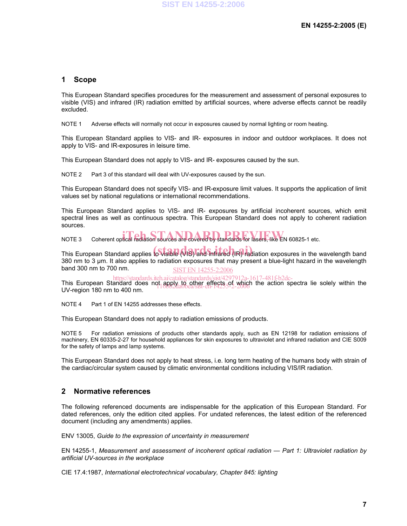### **1 Scope**

This European Standard specifies procedures for the measurement and assessment of personal exposures to visible (VIS) and infrared (IR) radiation emitted by artificial sources, where adverse effects cannot be readily excluded.

NOTE 1 Adverse effects will normally not occur in exposures caused by normal lighting or room heating.

This European Standard applies to VIS- and IR- exposures in indoor and outdoor workplaces. It does not apply to VIS- and IR-exposures in leisure time.

This European Standard does not apply to VIS- and IR- exposures caused by the sun.

NOTE 2 Part 3 of this standard will deal with UV-exposures caused by the sun.

This European Standard does not specify VIS- and IR-exposure limit values. It supports the application of limit values set by national regulations or international recommendations.

This European Standard applies to VIS- and IR- exposures by artificial incoherent sources, which emit spectral lines as well as continuous spectra. This European Standard does not apply to coherent radiation sources.

NOTE 3 Coherent optical radiation sources are covered by standards for lasers, like EN 60825-1 etc.

This European Standard applies to Visible (VIS) and infrared (IR) radiation exposures in the wavelength band 380 nm to 3 µm. It also applies to radiation exposures that may present a blue-light hazard in the wavelength band 300 nm to 700 nm. SIST EN 14255-2:2006

https://standards.iteh.ai/catalog/standards/sist/4297912a-1617-481f-b2dc-<br>This European Standard does not apply to other effects of which the action spectra lie solely within the UV-region 180 nm to 400 nm. 116bb2da0bea/sist-en-14255-2-2006

NOTE 4 Part 1 of EN 14255 addresses these effects.

This European Standard does not apply to radiation emissions of products.

NOTE 5 For radiation emissions of products other standards apply, such as EN 12198 for radiation emissions of machinery, EN 60335-2-27 for household appliances for skin exposures to ultraviolet and infrared radiation and CIE S009 for the safety of lamps and lamp systems.

This European Standard does not apply to heat stress, i.e. long term heating of the humans body with strain of the cardiac/circular system caused by climatic environmental conditions including VIS/IR radiation.

#### **2 Normative references**

The following referenced documents are indispensable for the application of this European Standard. For dated references, only the edition cited applies. For undated references, the latest edition of the referenced document (including any amendments) applies.

ENV 13005, *Guide to the expression of uncertainty in measurement* 

EN 14255-1, *Measurement and assessment of incoherent optical radiation — Part 1: Ultraviolet radiation by artificial UV-sources in the workplace* 

CIE 17.4:1987, *International electrotechnical vocabulary, Chapter 845: lighting*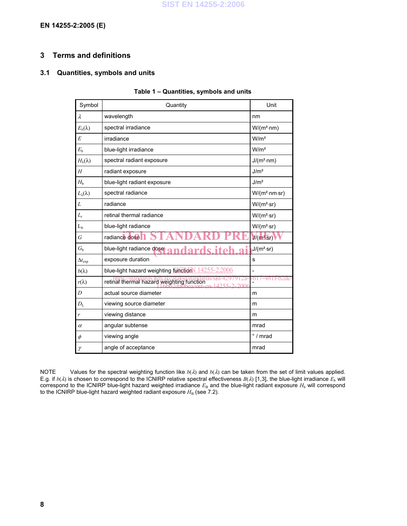### **3 Terms and definitions**

### **3.1 Quantities, symbols and units**

| Symbol                 | Quantity                                                                                      | Unit                   |
|------------------------|-----------------------------------------------------------------------------------------------|------------------------|
| λ                      | wavelength                                                                                    | nm                     |
| $E_{\lambda}(\lambda)$ | spectral irradiance                                                                           | $W/(m^2 \cdot nm)$     |
| E                      | irradiance                                                                                    | W/m <sup>2</sup>       |
| E <sub>b</sub>         | blue-light irradiance                                                                         | W/m <sup>2</sup>       |
| $H_{\lambda}(\lambda)$ | spectral radiant exposure                                                                     | $J/(m^2 \cdot nm)$     |
| H                      | radiant exposure                                                                              | J/m <sup>2</sup>       |
| $H_{\rm b}$            | blue-light radiant exposure                                                                   | J/m <sup>2</sup>       |
| $L_{\lambda}(\lambda)$ | spectral radiance                                                                             | $W/(m^2 n m \cdot sr)$ |
| ${\cal L}$             | radiance                                                                                      | $W/(m^2·sr)$           |
| $L_{\rm r}$            | retinal thermal radiance                                                                      | $W/(m^2·sr)$           |
| $L_b$                  | blue-light radiance                                                                           | $W/(m^2·sr)$           |
| G                      | radiance dose                                                                                 | $J/(m^2\, sr)$         |
| G <sub>h</sub>         | blue-light radiance dose-<br>dards iteh                                                       | $J/(m^2·sr)$           |
| $\Delta t_{\rm exp}$   | exposure duration                                                                             | s                      |
| $b(\lambda)$           | blue-light hazard weighting function 14255-2:2006                                             |                        |
| $r(\lambda)$           | Za-<br>https://standards.iten.avcatalog.standard<br>retinal thermal hazard weighting function | <sup>161</sup>         |
| $\boldsymbol{D}$       | actual source diameter                                                                        | m                      |
| $D_{\rm L}$            | viewing source diameter                                                                       | m                      |
| r                      | viewing distance                                                                              | m                      |
| $\alpha$               | angular subtense                                                                              | mrad                   |
| $\phi$                 | viewing angle                                                                                 | $\degree$ / mrad       |
| γ                      | angle of acceptance                                                                           | mrad                   |

#### **Table 1 – Quantities, symbols and units**

NOTE Values for the spectral weighting function like *b*(λ) and *b*(λ) can be taken from the set of limit values applied. E.g. if *b*(*λ*) is chosen to correspond to the ICNIRP relative spectral effectiveness *B*(*λ*) [1,3], the blue-light irradiance  $E_b$  will correspond to the ICNIRP blue-light hazard weighted irradiance  $E_B$  and the blue-light radiant exposure  $H_b$  will correspond to the ICNIRP blue-light hazard weighted radiant exposure  $H_{\text{B}}$  (see 7.2).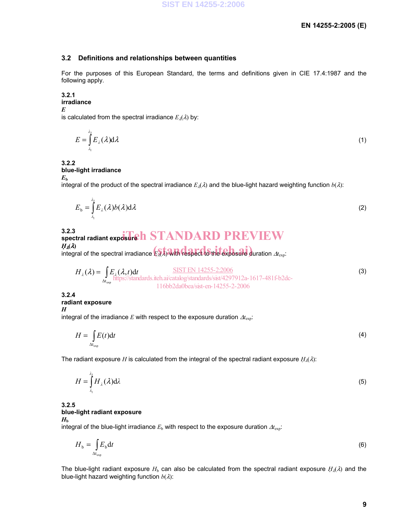### **3.2 Definitions and relationships between quantities**

For the purposes of this European Standard, the terms and definitions given in CIE 17.4:1987 and the following apply.

#### **3.2.1**

**irradiance** 

*E* 

is calculated from the spectral irradiance  $E_{\lambda}(\lambda)$  by:

$$
E = \int_{\lambda_1}^{\lambda_2} E_{\lambda}(\lambda) d\lambda
$$
 (1)

#### **3.2.2 blue-light irradiance**

 $E_{\rm b}$ 

integral of the product of the spectral irradiance  $E_\lambda(\lambda)$  and the blue-light hazard weighting function  $b(\lambda)$ :

$$
E_{\mathbf{b}} = \int_{\lambda_1}^{\lambda_2} E_{\lambda}(\lambda) b(\lambda) \mathrm{d}\lambda \tag{2}
$$

### **3.2.3**

## 3.2.3<br>spectral radiant exposure h STANDARD PREVIEW *H* <sup>λ</sup>**(**λ**)**

*H<sub>λ</sub>(λ)*<br>integral of the spectral irradiance  $E$ λ, λ) with respect to the exposure duration ⊿*t*<sub>exp</sub>:

$$
H_{\lambda}(\lambda) = \int_{\Delta t_{\text{exp}}} E_{\lambda}(\lambda, t) dt
$$
  
StST EN 14255-22006  
https://standards.iteh.aicatalog/standards/sist/4297912a-1617-481f-b2dc-116bb22d006  
116bb2da0bea/sist-en-14255-2-2006  
(3)

**3.2.4 radiant exposure**  *H* 

integral of the irradiance *E* with respect to the exposure duration <sup>∆</sup>*t*exp:

$$
H = \int_{\Delta t_{\text{exp}}} E(t) \mathrm{d}t \tag{4}
$$

The radiant exposure *H* is calculated from the integral of the spectral radiant exposure  $H_{\lambda}(\lambda)$ :

$$
H = \int_{\lambda_1}^{\lambda_2} H_{\lambda}(\lambda) d\lambda
$$
 (5)

#### **3.2.5 blue-light radiant exposure**   $H<sub>b</sub>$

integral of the blue-light irradiance  $E<sub>b</sub>$  with respect to the exposure duration  $\Delta t_{\text{exp}}$ .

$$
H_{\rm b} = \int_{\Delta t_{\rm exp}} E_{\rm b} \mathrm{d}t \tag{6}
$$

The blue-light radiant exposure  $H_b$  can also be calculated from the spectral radiant exposure  $H_{\lambda}(\lambda)$  and the blue-light hazard weighting function *b*(λ):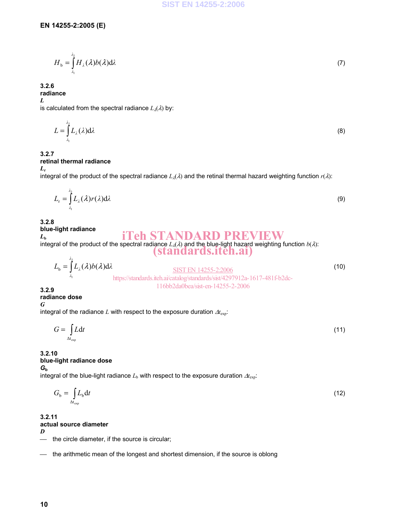$$
H_{\mathbf{b}} = \int_{\lambda_1}^{\lambda_2} H_{\lambda}(\lambda) b(\lambda) \mathrm{d}\lambda \tag{7}
$$

#### **3.2.6 radiance**

*L* 

is calculated from the spectral radiance  $L_{\lambda}(\lambda)$  by:

$$
L = \int_{\lambda_1}^{\lambda_2} L_{\lambda}(\lambda) d\lambda \tag{8}
$$

#### **3.2.7 retinal thermal radiance**

 $L_{\rm r}$ integral of the product of the spectral radiance  $L_\lambda(\lambda)$  and the retinal thermal hazard weighting function  $r(\lambda)$ :

$$
L_{\rm r} = \int_{\lambda_{\rm l}}^{\lambda_{\rm 2}} L_{\lambda}(\lambda) r(\lambda) \mathrm{d} \lambda \tag{9}
$$

**3.2.8 blue-light radiance** 

 $L_{\rm b}$ 

# **iTeh STANDARD PREVIEW**<br>integral of the product of the spectral radiance  $L_{\lambda}(\lambda)$  and the blue-light hazard weighting function *b*(*λ*): (standards.iteh.ai)

$$
L_{\mathbf{b}} = \int_{\lambda_1}^{\lambda_2} L_{\lambda}(\lambda) b(\lambda) d\lambda
$$
  
\n
$$
\text{https://standards.iteh.aivcatalog/standards/sist/4297912a-1617-481f-b2dc-116b2d0bea/sist-en-14255-2-2006}
$$
\n(10)

**3.2.9 radiance dose**  *G* 

integral of the radiance *L* with respect to the exposure duration ∆*t*exp:

$$
G = \int_{\Delta t_{\rm exp}} L \, \mathrm{d}t \tag{11}
$$

#### **3.2.10 blue-light radiance dose**   $G_{\rm b}$

integral of the blue-light radiance  $L<sub>b</sub>$  with respect to the exposure duration  $\Delta t_{\text{exp}}$ :

$$
G_{\rm b} = \int_{\Delta t_{\rm exp}} L_{\rm b} \mathrm{d}t \tag{12}
$$

**3.2.11 actual source diameter** 

*D*  - the circle diameter, if the source is circular;

the arithmetic mean of the longest and shortest dimension, if the source is oblong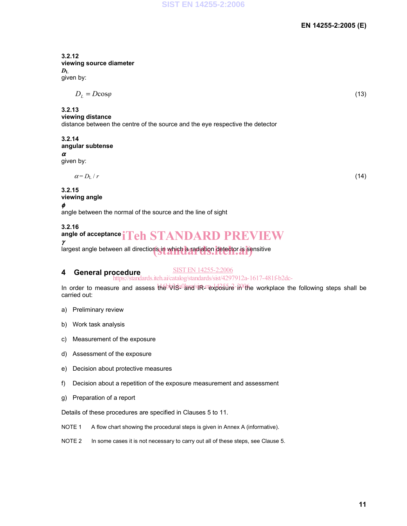| 3.2.12<br>viewing source diameter<br>$\bm{D}_{\rm L}$<br>given by:                                          |      |
|-------------------------------------------------------------------------------------------------------------|------|
| $D_t = D \cos \varphi$                                                                                      | (13) |
| 3.2.13<br>viewing distance<br>distance between the centre of the source and the eye respective the detector |      |
| 3.2.14<br>angular subtense                                                                                  |      |
| $\alpha$<br>given by:                                                                                       |      |
| $\alpha = D_L/r$                                                                                            | (14) |
| 3.2.15<br>viewing angle<br>φ                                                                                |      |
| angle between the normal of the source and the line of sight                                                |      |
| 3.2.16<br>angle of acceptance <i>i</i> Tch STANDARD PREVIEW                                                 |      |

largest angle between all directions in which a radiation detector is sensitive

#### **4 General procedure**  SIST EN 14255-2:2006

https://standards.iteh.ai/catalog/standards/sist/4297912a-1617-481f-b2dc-

In order to measure and assess the visa and interexposure in the workplace the following steps shall be carried out:

- a) Preliminary review
- b) Work task analysis
- c) Measurement of the exposure
- d) Assessment of the exposure
- e) Decision about protective measures
- f) Decision about a repetition of the exposure measurement and assessment
- g) Preparation of a report

Details of these procedures are specified in Clauses 5 to 11.

- NOTE 1 A flow chart showing the procedural steps is given in Annex A (informative).
- NOTE 2 In some cases it is not necessary to carry out all of these steps, see Clause 5.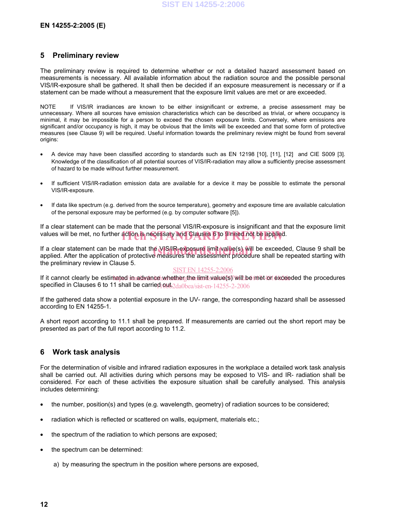#### **EN 14255-2:2005 (E)**

#### **5 Preliminary review**

The preliminary review is required to determine whether or not a detailed hazard assessment based on measurements is necessary. All available information about the radiation source and the possible personal VIS/IR-exposure shall be gathered. It shall then be decided if an exposure measurement is necessary or if a statement can be made without a measurement that the exposure limit values are met or are exceeded.

NOTE If VIS/IR irradiances are known to be either insignificant or extreme, a precise assessment may be unnecessary. Where all sources have emission characteristics which can be described as trivial, or where occupancy is minimal, it may be impossible for a person to exceed the chosen exposure limits. Conversely, where emissions are significant and/or occupancy is high, it may be obvious that the limits will be exceeded and that some form of protective measures (see Clause 9) will be required. Useful information towards the preliminary review might be found from several origins:

- A device may have been classified according to standards such as EN 12198 [10], [11], [12] and CIE S009 [3]. Knowledge of the classification of all potential sources of VIS/IR-radiation may allow a sufficiently precise assessment of hazard to be made without further measurement.
- If sufficient VIS/IR-radiation emission data are available for a device it may be possible to estimate the personal VIS/IR-exposure.
- If data like spectrum (e.g. derived from the source temperature), geometry and exposure time are available calculation of the personal exposure may be performed (e.g. by computer software [5]).

If a clear statement can be made that the personal VIS/IR-exposure is insignificant and that the exposure limit values will be met, no further action is necessary and Clauses 6 to 9 need not be applied.

If a clear statement can be made that the VIS/IR-exposure limit value(s) will be exceeded, Clause 9 shall be<br>applied. After the application of protective measures the assessment procedure shall be repeated starting with applied. After the application of protective measures the assessment procedure shall be repeated starting with the preliminary review in Clause 5.

#### SIST EN 14255-2:2006

If it cannot clearly be estimated/in advance whether the limit value(s) will be met on exceeded the procedures specified in Clauses 6 to 11 shall be carried  $gyt2da0ba/sist-en-14255-2-2006$ 

If the gathered data show a potential exposure in the UV- range, the corresponding hazard shall be assessed according to EN 14255-1.

A short report according to 11.1 shall be prepared. If measurements are carried out the short report may be presented as part of the full report according to 11.2.

#### **6 Work task analysis**

For the determination of visible and infrared radiation exposures in the workplace a detailed work task analysis shall be carried out. All activities during which persons may be exposed to VIS- and IR- radiation shall be considered. For each of these activities the exposure situation shall be carefully analysed. This analysis includes determining:

- the number, position(s) and types (e.g. wavelength, geometry) of radiation sources to be considered;
- radiation which is reflected or scattered on walls, equipment, materials etc.;
- the spectrum of the radiation to which persons are exposed;
- the spectrum can be determined:
	- a) by measuring the spectrum in the position where persons are exposed,